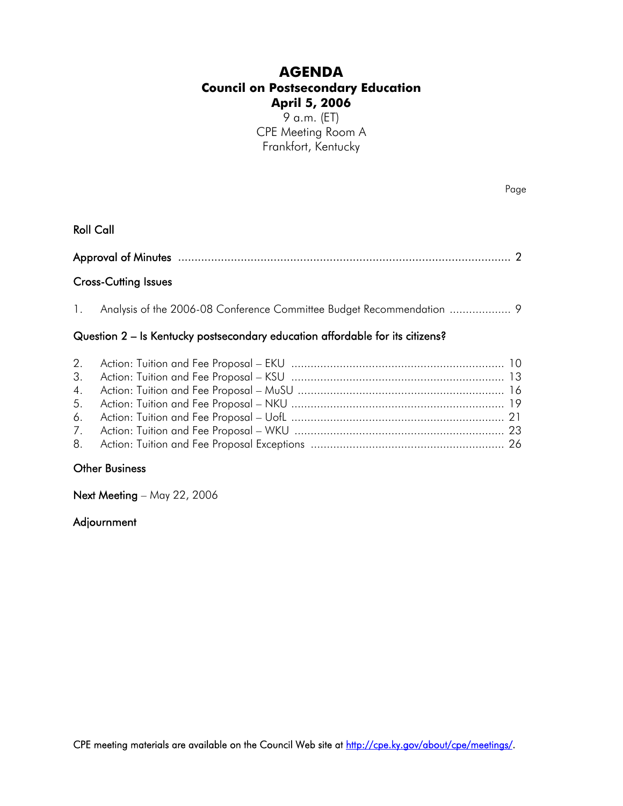9 a.m. (ET) CPE Meeting Room A Frankfort, Kentucky

Page

#### Roll Call

| <b>Cross-Cutting Issues</b> |  |
|-----------------------------|--|

#### 1. Analysis of the 2006-08 Conference Committee Budget Recommendation ................... 9

#### Question 2 – Is Kentucky postsecondary education affordable for its citizens?

#### Other Business

Next Meeting – May 22, 2006

#### **Adjournment**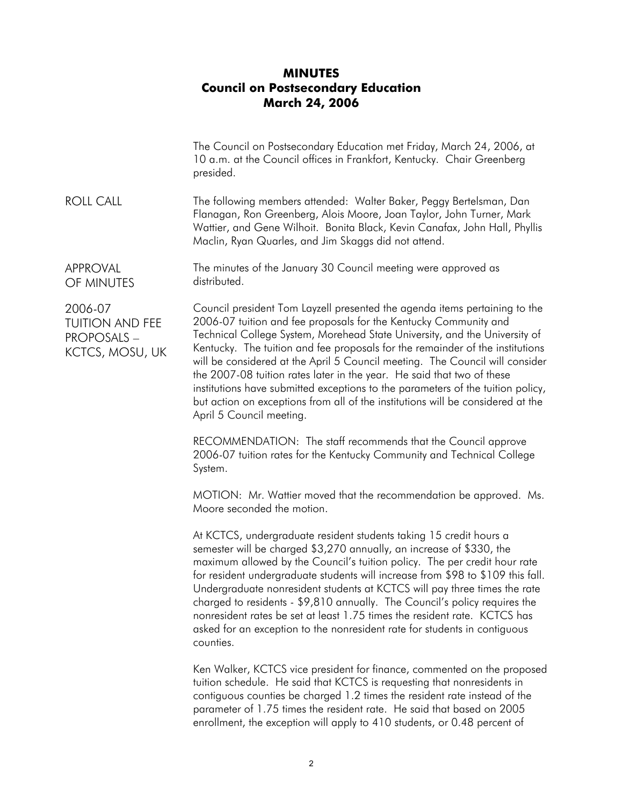## **MINUTES Council on Postsecondary Education March 24, 2006**

|                                                                            | The Council on Postsecondary Education met Friday, March 24, 2006, at<br>10 a.m. at the Council offices in Frankfort, Kentucky. Chair Greenberg<br>presided.                                                                                                                                                                                                                                                                                                                                                                                                                                                                                                              |
|----------------------------------------------------------------------------|---------------------------------------------------------------------------------------------------------------------------------------------------------------------------------------------------------------------------------------------------------------------------------------------------------------------------------------------------------------------------------------------------------------------------------------------------------------------------------------------------------------------------------------------------------------------------------------------------------------------------------------------------------------------------|
| <b>ROLL CALL</b>                                                           | The following members attended: Walter Baker, Peggy Bertelsman, Dan<br>Flanagan, Ron Greenberg, Alois Moore, Joan Taylor, John Turner, Mark<br>Wattier, and Gene Wilhoit. Bonita Black, Kevin Canafax, John Hall, Phyllis<br>Maclin, Ryan Quarles, and Jim Skaggs did not attend.                                                                                                                                                                                                                                                                                                                                                                                         |
| <b>APPROVAL</b><br>OF MINUTES                                              | The minutes of the January 30 Council meeting were approved as<br>distributed.                                                                                                                                                                                                                                                                                                                                                                                                                                                                                                                                                                                            |
| 2006-07<br><b>TUITION AND FEE</b><br><b>PROPOSALS -</b><br>KCTCS, MOSU, UK | Council president Tom Layzell presented the agenda items pertaining to the<br>2006-07 tuition and fee proposals for the Kentucky Community and<br>Technical College System, Morehead State University, and the University of<br>Kentucky. The tuition and fee proposals for the remainder of the institutions<br>will be considered at the April 5 Council meeting. The Council will consider<br>the 2007-08 tuition rates later in the year. He said that two of these<br>institutions have submitted exceptions to the parameters of the tuition policy,<br>but action on exceptions from all of the institutions will be considered at the<br>April 5 Council meeting. |
|                                                                            | RECOMMENDATION: The staff recommends that the Council approve<br>2006-07 tuition rates for the Kentucky Community and Technical College<br>System.                                                                                                                                                                                                                                                                                                                                                                                                                                                                                                                        |
|                                                                            | MOTION: Mr. Wattier moved that the recommendation be approved. Ms.<br>Moore seconded the motion.                                                                                                                                                                                                                                                                                                                                                                                                                                                                                                                                                                          |
|                                                                            | At KCTCS, undergraduate resident students taking 15 credit hours a<br>semester will be charged \$3,270 annually, an increase of \$330, the<br>maximum allowed by the Council's tuition policy. The per credit hour rate<br>for resident undergraduate students will increase from \$98 to \$109 this fall.<br>Undergraduate nonresident students at KCTCS will pay three times the rate<br>charged to residents - \$9,810 annually. The Council's policy requires the<br>nonresident rates be set at least 1.75 times the resident rate. KCTCS has<br>asked for an exception to the nonresident rate for students in contiguous<br>counties.                              |
|                                                                            | Ken Walker, KCTCS vice president for finance, commented on the proposed<br>tuition schedule. He said that KCTCS is requesting that nonresidents in<br>contiguous counties be charged 1.2 times the resident rate instead of the<br>parameter of 1.75 times the resident rate. He said that based on 2005<br>enrollment, the exception will apply to 410 students, or 0.48 percent of                                                                                                                                                                                                                                                                                      |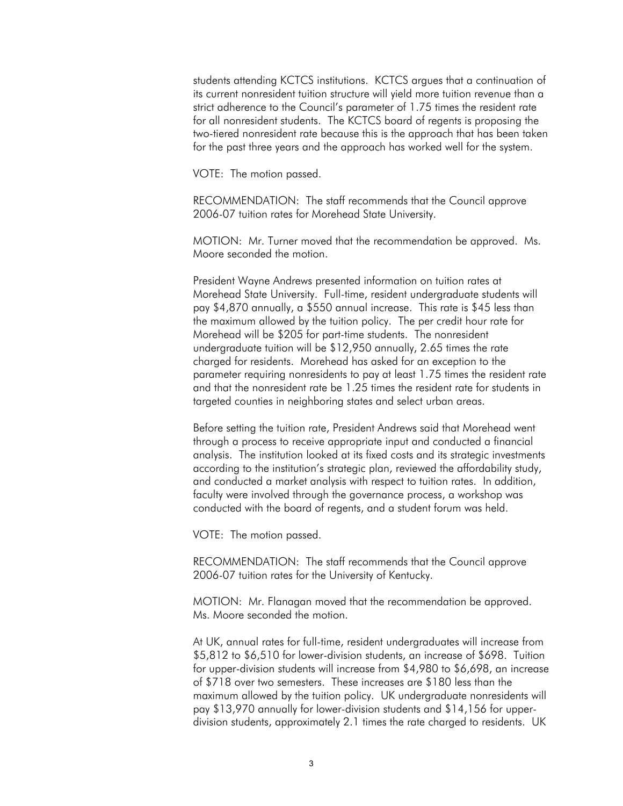students attending KCTCS institutions. KCTCS argues that a continuation of its current nonresident tuition structure will yield more tuition revenue than a strict adherence to the Council's parameter of 1.75 times the resident rate for all nonresident students. The KCTCS board of regents is proposing the two-tiered nonresident rate because this is the approach that has been taken for the past three years and the approach has worked well for the system.

VOTE: The motion passed.

RECOMMENDATION: The staff recommends that the Council approve 2006-07 tuition rates for Morehead State University.

MOTION: Mr. Turner moved that the recommendation be approved. Ms. Moore seconded the motion.

President Wayne Andrews presented information on tuition rates at Morehead State University. Full-time, resident undergraduate students will pay \$4,870 annually, a \$550 annual increase. This rate is \$45 less than the maximum allowed by the tuition policy. The per credit hour rate for Morehead will be \$205 for part-time students. The nonresident undergraduate tuition will be \$12,950 annually, 2.65 times the rate charged for residents. Morehead has asked for an exception to the parameter requiring nonresidents to pay at least 1.75 times the resident rate and that the nonresident rate be 1.25 times the resident rate for students in targeted counties in neighboring states and select urban areas.

Before setting the tuition rate, President Andrews said that Morehead went through a process to receive appropriate input and conducted a financial analysis. The institution looked at its fixed costs and its strategic investments according to the institution's strategic plan, reviewed the affordability study, and conducted a market analysis with respect to tuition rates. In addition, faculty were involved through the governance process, a workshop was conducted with the board of regents, and a student forum was held.

VOTE: The motion passed.

RECOMMENDATION: The staff recommends that the Council approve 2006-07 tuition rates for the University of Kentucky.

MOTION: Mr. Flanagan moved that the recommendation be approved. Ms. Moore seconded the motion.

At UK, annual rates for full-time, resident undergraduates will increase from \$5,812 to \$6,510 for lower-division students, an increase of \$698. Tuition for upper-division students will increase from \$4,980 to \$6,698, an increase of \$718 over two semesters. These increases are \$180 less than the maximum allowed by the tuition policy. UK undergraduate nonresidents will pay \$13,970 annually for lower-division students and \$14,156 for upperdivision students, approximately 2.1 times the rate charged to residents. UK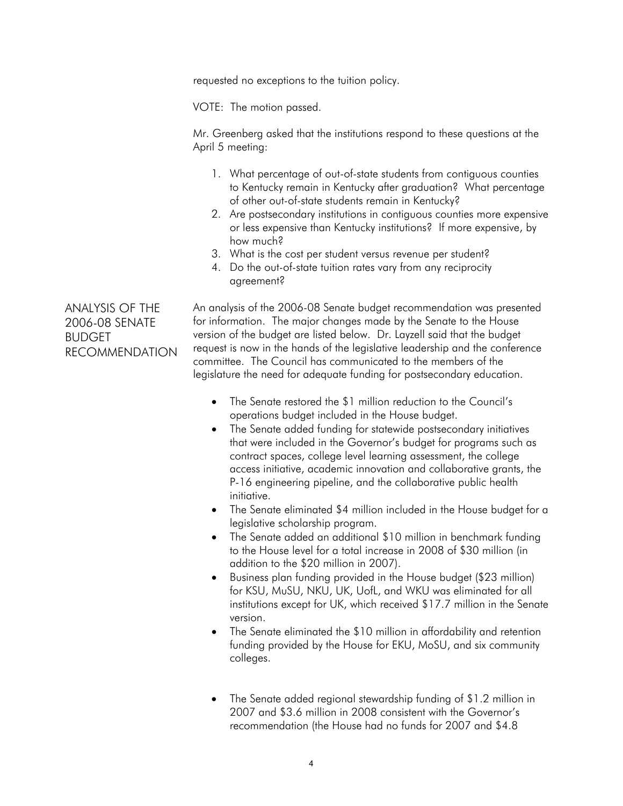requested no exceptions to the tuition policy.

VOTE: The motion passed.

Mr. Greenberg asked that the institutions respond to these questions at the April 5 meeting:

- 1. What percentage of out-of-state students from contiguous counties to Kentucky remain in Kentucky after graduation? What percentage of other out-of-state students remain in Kentucky?
- 2. Are postsecondary institutions in contiguous counties more expensive or less expensive than Kentucky institutions? If more expensive, by how much?
- 3. What is the cost per student versus revenue per student?
- 4. Do the out-of-state tuition rates vary from any reciprocity agreement?

ANALYSIS OF THE 2006-08 SENATE BUDGET RECOMMENDATION An analysis of the 2006-08 Senate budget recommendation was presented for information. The major changes made by the Senate to the House version of the budget are listed below. Dr. Layzell said that the budget request is now in the hands of the legislative leadership and the conference committee. The Council has communicated to the members of the legislature the need for adequate funding for postsecondary education.

- The Senate restored the \$1 million reduction to the Council's operations budget included in the House budget.
- The Senate added funding for statewide postsecondary initiatives that were included in the Governor's budget for programs such as contract spaces, college level learning assessment, the college access initiative, academic innovation and collaborative grants, the P-16 engineering pipeline, and the collaborative public health initiative.
- The Senate eliminated \$4 million included in the House budget for a legislative scholarship program.
- The Senate added an additional \$10 million in benchmark funding to the House level for a total increase in 2008 of \$30 million (in addition to the \$20 million in 2007).
- Business plan funding provided in the House budget (\$23 million) for KSU, MuSU, NKU, UK, UofL, and WKU was eliminated for all institutions except for UK, which received \$17.7 million in the Senate version.
- The Senate eliminated the \$10 million in affordability and retention funding provided by the House for EKU, MoSU, and six community colleges.
- The Senate added regional stewardship funding of \$1.2 million in 2007 and \$3.6 million in 2008 consistent with the Governor's recommendation (the House had no funds for 2007 and \$4.8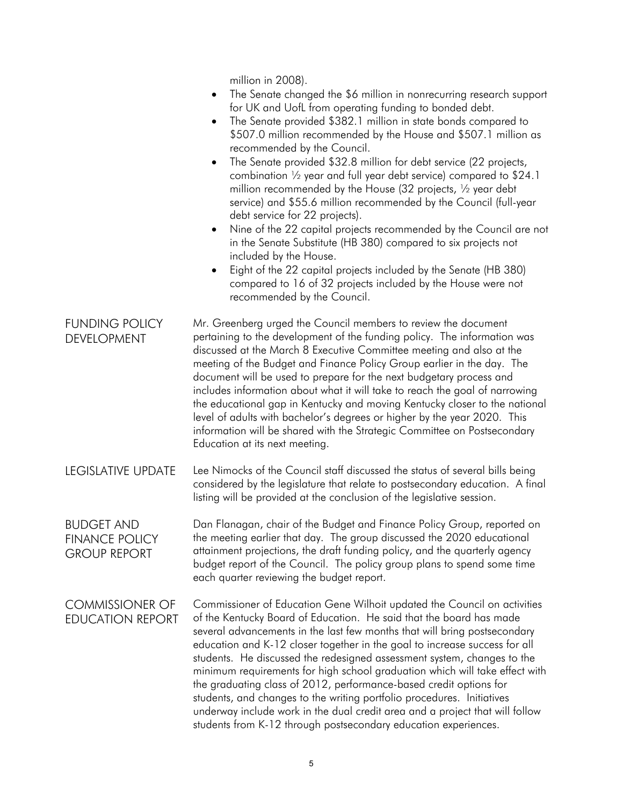million in 2008).

- The Senate changed the \$6 million in nonrecurring research support for UK and UofL from operating funding to bonded debt.
- The Senate provided \$382.1 million in state bonds compared to \$507.0 million recommended by the House and \$507.1 million as recommended by the Council.
- The Senate provided \$32.8 million for debt service (22 projects, combination ½ year and full year debt service) compared to \$24.1 million recommended by the House (32 projects, ½ year debt service) and \$55.6 million recommended by the Council (full-year debt service for 22 projects).
- Nine of the 22 capital projects recommended by the Council are not in the Senate Substitute (HB 380) compared to six projects not included by the House.
- Eight of the 22 capital projects included by the Senate (HB 380) compared to 16 of 32 projects included by the House were not recommended by the Council.

FUNDING POLICY DEVELOPMENT Mr. Greenberg urged the Council members to review the document pertaining to the development of the funding policy. The information was discussed at the March 8 Executive Committee meeting and also at the meeting of the Budget and Finance Policy Group earlier in the day. The document will be used to prepare for the next budgetary process and includes information about what it will take to reach the goal of narrowing the educational gap in Kentucky and moving Kentucky closer to the national level of adults with bachelor's degrees or higher by the year 2020. This information will be shared with the Strategic Committee on Postsecondary Education at its next meeting.

LEGISLATIVE UPDATE Lee Nimocks of the Council staff discussed the status of several bills being considered by the legislature that relate to postsecondary education. A final listing will be provided at the conclusion of the legislative session.

BUDGET AND FINANCE POLICY GROUP REPORT Dan Flanagan, chair of the Budget and Finance Policy Group, reported on the meeting earlier that day. The group discussed the 2020 educational attainment projections, the draft funding policy, and the quarterly agency budget report of the Council. The policy group plans to spend some time each quarter reviewing the budget report.

COMMISSIONER OF EDUCATION REPORT Commissioner of Education Gene Wilhoit updated the Council on activities of the Kentucky Board of Education. He said that the board has made several advancements in the last few months that will bring postsecondary education and K-12 closer together in the goal to increase success for all students. He discussed the redesigned assessment system, changes to the minimum requirements for high school graduation which will take effect with the graduating class of 2012, performance-based credit options for students, and changes to the writing portfolio procedures. Initiatives underway include work in the dual credit area and a project that will follow students from K-12 through postsecondary education experiences.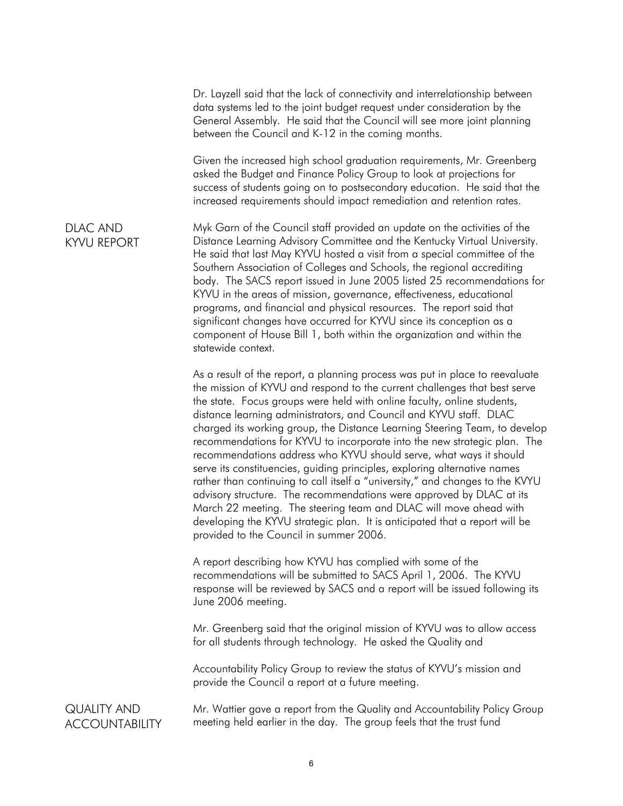Dr. Layzell said that the lack of connectivity and interrelationship between data systems led to the joint budget request under consideration by the General Assembly. He said that the Council will see more joint planning between the Council and K-12 in the coming months.

Given the increased high school graduation requirements, Mr. Greenberg asked the Budget and Finance Policy Group to look at projections for success of students going on to postsecondary education. He said that the increased requirements should impact remediation and retention rates.

DLAC AND KYVU REPORT Myk Garn of the Council staff provided an update on the activities of the Distance Learning Advisory Committee and the Kentucky Virtual University. He said that last May KYVU hosted a visit from a special committee of the Southern Association of Colleges and Schools, the regional accrediting body. The SACS report issued in June 2005 listed 25 recommendations for KYVU in the areas of mission, governance, effectiveness, educational programs, and financial and physical resources. The report said that significant changes have occurred for KYVU since its conception as a component of House Bill 1, both within the organization and within the statewide context.

> As a result of the report, a planning process was put in place to reevaluate the mission of KYVU and respond to the current challenges that best serve the state. Focus groups were held with online faculty, online students, distance learning administrators, and Council and KYVU staff. DLAC charged its working group, the Distance Learning Steering Team, to develop recommendations for KYVU to incorporate into the new strategic plan. The recommendations address who KYVU should serve, what ways it should serve its constituencies, guiding principles, exploring alternative names rather than continuing to call itself a "university," and changes to the KVYU advisory structure. The recommendations were approved by DLAC at its March 22 meeting. The steering team and DLAC will move ahead with developing the KYVU strategic plan. It is anticipated that a report will be provided to the Council in summer 2006.

A report describing how KYVU has complied with some of the recommendations will be submitted to SACS April 1, 2006. The KYVU response will be reviewed by SACS and a report will be issued following its June 2006 meeting.

Mr. Greenberg said that the original mission of KYVU was to allow access for all students through technology. He asked the Quality and

Accountability Policy Group to review the status of KYVU's mission and provide the Council a report at a future meeting.

QUALITY AND ACCOUNTABILITY Mr. Wattier gave a report from the Quality and Accountability Policy Group meeting held earlier in the day. The group feels that the trust fund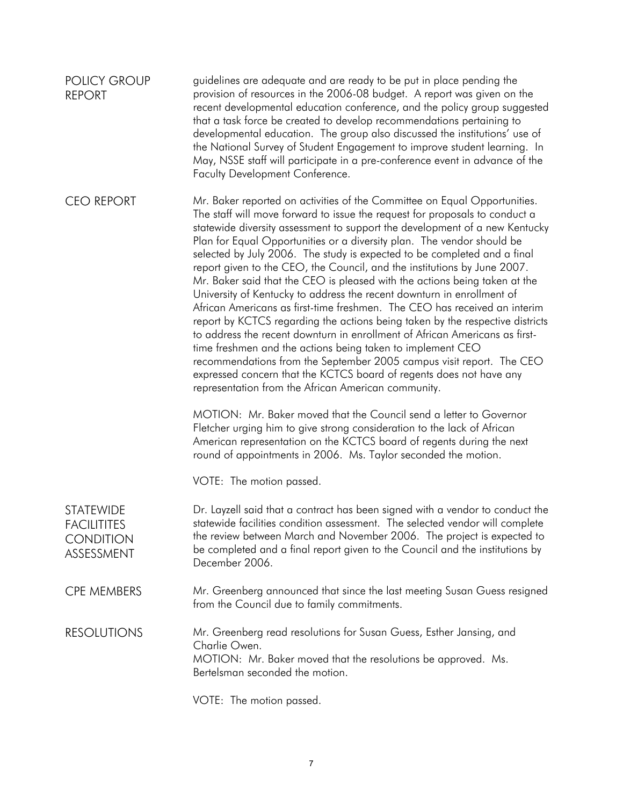| <b>POLICY GROUP</b><br><b>REPORT</b>                                     | guidelines are adequate and are ready to be put in place pending the<br>provision of resources in the 2006-08 budget. A report was given on the<br>recent developmental education conference, and the policy group suggested<br>that a task force be created to develop recommendations pertaining to<br>developmental education. The group also discussed the institutions' use of<br>the National Survey of Student Engagement to improve student learning. In<br>May, NSSE staff will participate in a pre-conference event in advance of the<br><b>Faculty Development Conference.</b>                                                                                                                                                                                                                                                                                                                                                                                                                                                                                                                                                                                                                                                                                                                                                                                                                                                                                 |
|--------------------------------------------------------------------------|----------------------------------------------------------------------------------------------------------------------------------------------------------------------------------------------------------------------------------------------------------------------------------------------------------------------------------------------------------------------------------------------------------------------------------------------------------------------------------------------------------------------------------------------------------------------------------------------------------------------------------------------------------------------------------------------------------------------------------------------------------------------------------------------------------------------------------------------------------------------------------------------------------------------------------------------------------------------------------------------------------------------------------------------------------------------------------------------------------------------------------------------------------------------------------------------------------------------------------------------------------------------------------------------------------------------------------------------------------------------------------------------------------------------------------------------------------------------------|
| <b>CEO REPORT</b>                                                        | Mr. Baker reported on activities of the Committee on Equal Opportunities.<br>The staff will move forward to issue the request for proposals to conduct a<br>statewide diversity assessment to support the development of a new Kentucky<br>Plan for Equal Opportunities or a diversity plan. The vendor should be<br>selected by July 2006. The study is expected to be completed and a final<br>report given to the CEO, the Council, and the institutions by June 2007.<br>Mr. Baker said that the CEO is pleased with the actions being taken at the<br>University of Kentucky to address the recent downturn in enrollment of<br>African Americans as first-time freshmen. The CEO has received an interim<br>report by KCTCS regarding the actions being taken by the respective districts<br>to address the recent downturn in enrollment of African Americans as first-<br>time freshmen and the actions being taken to implement CEO<br>recommendations from the September 2005 campus visit report. The CEO<br>expressed concern that the KCTCS board of regents does not have any<br>representation from the African American community.<br>MOTION: Mr. Baker moved that the Council send a letter to Governor<br>Fletcher urging him to give strong consideration to the lack of African<br>American representation on the KCTCS board of regents during the next<br>round of appointments in 2006. Ms. Taylor seconded the motion.<br>VOTE: The motion passed. |
|                                                                          |                                                                                                                                                                                                                                                                                                                                                                                                                                                                                                                                                                                                                                                                                                                                                                                                                                                                                                                                                                                                                                                                                                                                                                                                                                                                                                                                                                                                                                                                            |
| <b>STATEWIDE</b><br><b>FACILITITES</b><br><b>CONDITION</b><br>ASSESSMENT | Dr. Layzell said that a contract has been signed with a vendor to conduct the<br>statewide facilities condition assessment. The selected vendor will complete<br>the review between March and November 2006. The project is expected to<br>be completed and a final report given to the Council and the institutions by<br>December 2006.                                                                                                                                                                                                                                                                                                                                                                                                                                                                                                                                                                                                                                                                                                                                                                                                                                                                                                                                                                                                                                                                                                                                  |
| <b>CPE MEMBERS</b>                                                       | Mr. Greenberg announced that since the last meeting Susan Guess resigned<br>from the Council due to family commitments.                                                                                                                                                                                                                                                                                                                                                                                                                                                                                                                                                                                                                                                                                                                                                                                                                                                                                                                                                                                                                                                                                                                                                                                                                                                                                                                                                    |
| <b>RESOLUTIONS</b>                                                       | Mr. Greenberg read resolutions for Susan Guess, Esther Jansing, and<br>Charlie Owen.<br>MOTION: Mr. Baker moved that the resolutions be approved. Ms.<br>Bertelsman seconded the motion.                                                                                                                                                                                                                                                                                                                                                                                                                                                                                                                                                                                                                                                                                                                                                                                                                                                                                                                                                                                                                                                                                                                                                                                                                                                                                   |
|                                                                          | VOTE: The motion passed.                                                                                                                                                                                                                                                                                                                                                                                                                                                                                                                                                                                                                                                                                                                                                                                                                                                                                                                                                                                                                                                                                                                                                                                                                                                                                                                                                                                                                                                   |

7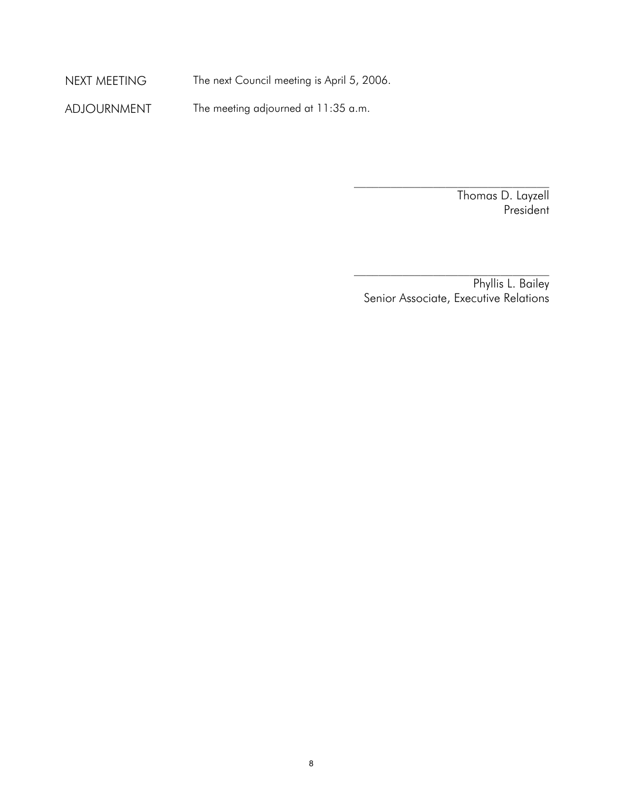NEXT MEETING The next Council meeting is April 5, 2006.

ADJOURNMENT The meeting adjourned at 11:35 a.m.

Thomas D. Layzell President

Phyllis L. Bailey Senior Associate, Executive Relations

 $\mathcal{L}_\text{max}$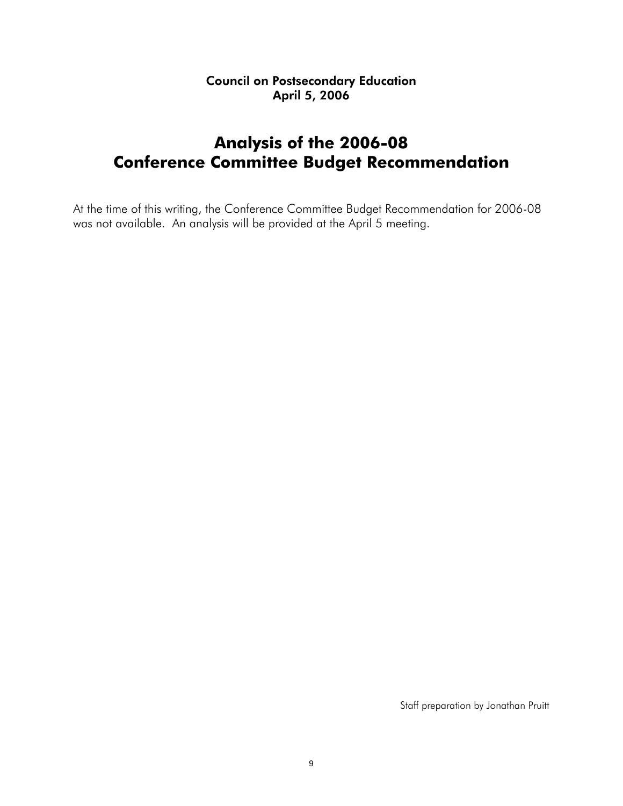# **Analysis of the 2006-08 Conference Committee Budget Recommendation**

At the time of this writing, the Conference Committee Budget Recommendation for 2006-08 was not available. An analysis will be provided at the April 5 meeting.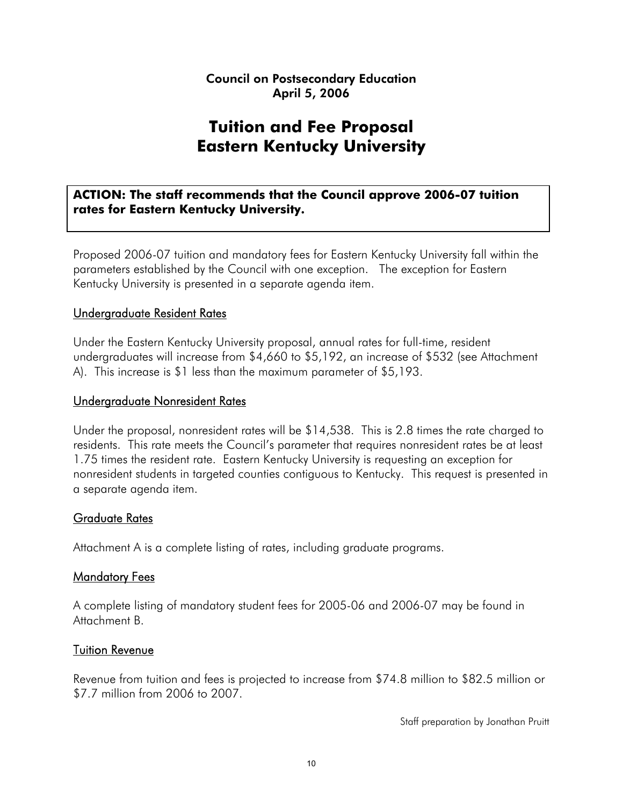# **Tuition and Fee Proposal Eastern Kentucky University**

### **ACTION: The staff recommends that the Council approve 2006-07 tuition rates for Eastern Kentucky University.**

Proposed 2006-07 tuition and mandatory fees for Eastern Kentucky University fall within the parameters established by the Council with one exception. The exception for Eastern Kentucky University is presented in a separate agenda item.

#### Undergraduate Resident Rates

Under the Eastern Kentucky University proposal, annual rates for full-time, resident undergraduates will increase from \$4,660 to \$5,192, an increase of \$532 (see Attachment A). This increase is \$1 less than the maximum parameter of \$5,193.

#### Undergraduate Nonresident Rates

Under the proposal, nonresident rates will be \$14,538. This is 2.8 times the rate charged to residents. This rate meets the Council's parameter that requires nonresident rates be at least 1.75 times the resident rate. Eastern Kentucky University is requesting an exception for nonresident students in targeted counties contiguous to Kentucky. This request is presented in a separate agenda item.

#### Graduate Rates

Attachment A is a complete listing of rates, including graduate programs.

#### Mandatory Fees

A complete listing of mandatory student fees for 2005-06 and 2006-07 may be found in Attachment B.

#### Tuition Revenue

Revenue from tuition and fees is projected to increase from \$74.8 million to \$82.5 million or \$7.7 million from 2006 to 2007.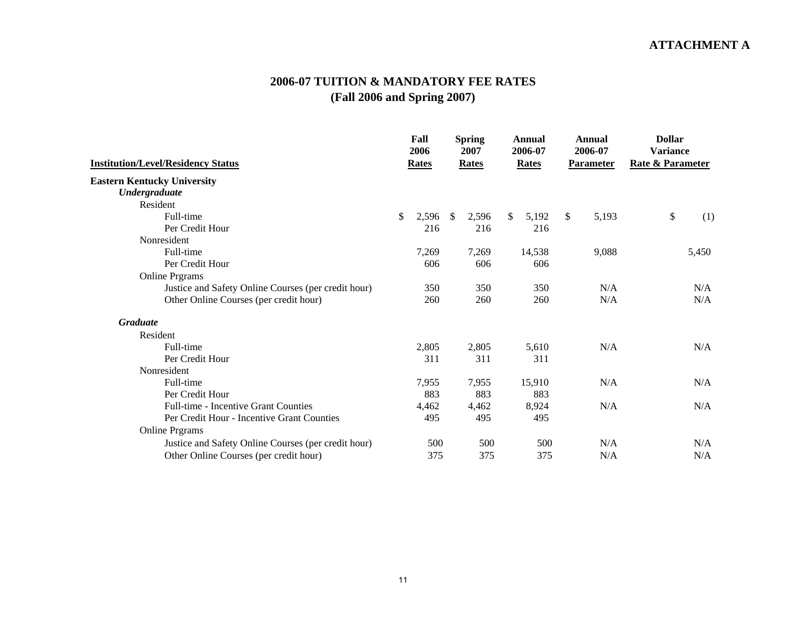#### **2006-07 TUITION & MANDATORY FEE RATES (Fall 2006 and Spring 2007)**

| <b>Institution/Level/Residency Status</b><br><b>Eastern Kentucky University</b> |    | Fall<br>2006<br><b>Rates</b> |               | <b>Spring</b><br>2007<br><b>Rates</b> |    | Annual<br>2006-07<br><b>Rates</b> |    | Annual<br>2006-07<br><b>Parameter</b> | <b>Dollar</b><br><b>Variance</b><br>Rate & Parameter |       |
|---------------------------------------------------------------------------------|----|------------------------------|---------------|---------------------------------------|----|-----------------------------------|----|---------------------------------------|------------------------------------------------------|-------|
|                                                                                 |    |                              |               |                                       |    |                                   |    |                                       |                                                      |       |
| <b>Undergraduate</b>                                                            |    |                              |               |                                       |    |                                   |    |                                       |                                                      |       |
| Resident                                                                        |    |                              |               |                                       |    |                                   |    |                                       |                                                      |       |
| Full-time                                                                       | \$ | 2,596                        | $\mathcal{S}$ | 2,596                                 | \$ | 5,192                             | \$ | 5,193                                 | \$                                                   | (1)   |
| Per Credit Hour                                                                 |    | 216                          |               | 216                                   |    | 216                               |    |                                       |                                                      |       |
| Nonresident                                                                     |    |                              |               |                                       |    |                                   |    |                                       |                                                      |       |
| Full-time                                                                       |    | 7,269                        |               | 7,269                                 |    | 14,538                            |    | 9,088                                 |                                                      | 5,450 |
| Per Credit Hour                                                                 |    | 606                          |               | 606                                   |    | 606                               |    |                                       |                                                      |       |
| <b>Online Prgrams</b>                                                           |    |                              |               |                                       |    |                                   |    |                                       |                                                      |       |
| Justice and Safety Online Courses (per credit hour)                             |    | 350                          |               | 350                                   |    | 350                               |    | N/A                                   |                                                      | N/A   |
| Other Online Courses (per credit hour)                                          |    | 260                          |               | 260                                   |    | 260                               |    | N/A                                   |                                                      | N/A   |
| <b>Graduate</b>                                                                 |    |                              |               |                                       |    |                                   |    |                                       |                                                      |       |
| Resident                                                                        |    |                              |               |                                       |    |                                   |    |                                       |                                                      |       |
| Full-time                                                                       |    | 2,805                        |               | 2,805                                 |    | 5,610                             |    | N/A                                   |                                                      | N/A   |
| Per Credit Hour                                                                 |    | 311                          |               | 311                                   |    | 311                               |    |                                       |                                                      |       |
| Nonresident                                                                     |    |                              |               |                                       |    |                                   |    |                                       |                                                      |       |
| Full-time                                                                       |    | 7,955                        |               | 7,955                                 |    | 15,910                            |    | N/A                                   |                                                      | N/A   |
| Per Credit Hour                                                                 |    | 883                          |               | 883                                   |    | 883                               |    |                                       |                                                      |       |
| <b>Full-time - Incentive Grant Counties</b>                                     |    | 4,462                        |               | 4,462                                 |    | 8,924                             |    | N/A                                   |                                                      | N/A   |
| Per Credit Hour - Incentive Grant Counties                                      |    | 495                          |               | 495                                   |    | 495                               |    |                                       |                                                      |       |
| <b>Online Prgrams</b>                                                           |    |                              |               |                                       |    |                                   |    |                                       |                                                      |       |
| Justice and Safety Online Courses (per credit hour)                             |    | 500                          |               | 500                                   |    | 500                               |    | N/A                                   |                                                      | N/A   |
| Other Online Courses (per credit hour)                                          |    | 375                          |               | 375                                   |    | 375                               |    | N/A                                   |                                                      | N/A   |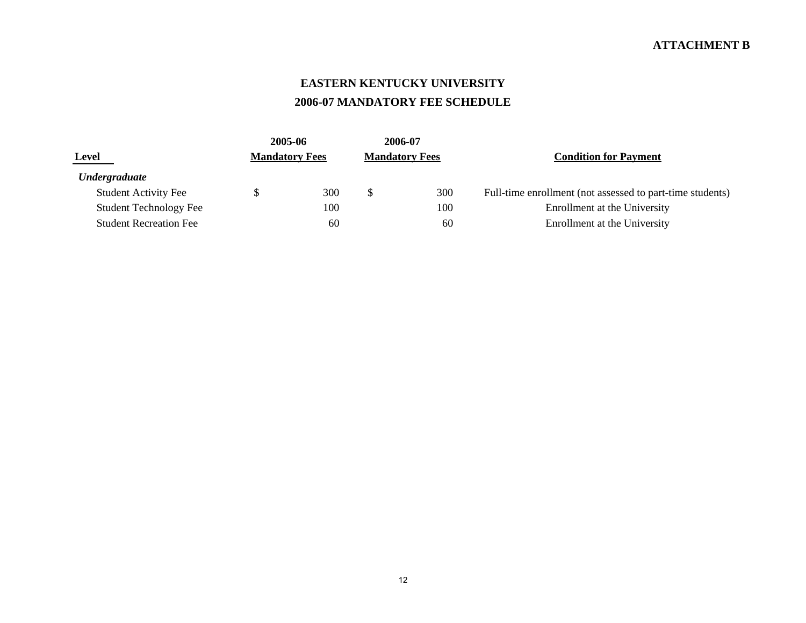#### **2006-07 MANDATORY FEE SCHEDULE EASTERN KENTUCKY UNIVERSITY**

|                               | 2005-06               |     | 2006-07               |     |                                                           |  |  |  |  |
|-------------------------------|-----------------------|-----|-----------------------|-----|-----------------------------------------------------------|--|--|--|--|
| Level                         | <b>Mandatory Fees</b> |     | <b>Mandatory Fees</b> |     | <b>Condition for Payment</b>                              |  |  |  |  |
| <b>Undergraduate</b>          |                       |     |                       |     |                                                           |  |  |  |  |
| <b>Student Activity Fee</b>   |                       | 300 |                       | 300 | Full-time enrollment (not assessed to part-time students) |  |  |  |  |
| <b>Student Technology Fee</b> |                       | 100 |                       | 100 | Enrollment at the University                              |  |  |  |  |
| <b>Student Recreation Fee</b> |                       | 60  |                       | 60  | Enrollment at the University                              |  |  |  |  |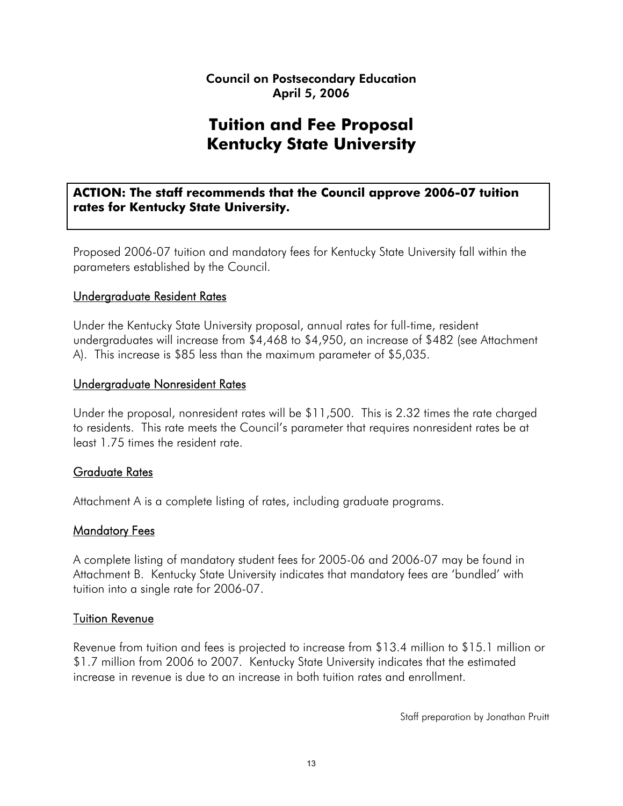# **Tuition and Fee Proposal Kentucky State University**

#### **ACTION: The staff recommends that the Council approve 2006-07 tuition rates for Kentucky State University.**

Proposed 2006-07 tuition and mandatory fees for Kentucky State University fall within the parameters established by the Council.

#### Undergraduate Resident Rates

Under the Kentucky State University proposal, annual rates for full-time, resident undergraduates will increase from \$4,468 to \$4,950, an increase of \$482 (see Attachment A). This increase is \$85 less than the maximum parameter of \$5,035.

#### Undergraduate Nonresident Rates

Under the proposal, nonresident rates will be \$11,500. This is 2.32 times the rate charged to residents. This rate meets the Council's parameter that requires nonresident rates be at least 1.75 times the resident rate.

#### Graduate Rates

Attachment A is a complete listing of rates, including graduate programs.

#### Mandatory Fees

A complete listing of mandatory student fees for 2005-06 and 2006-07 may be found in Attachment B. Kentucky State University indicates that mandatory fees are 'bundled' with tuition into a single rate for 2006-07.

#### Tuition Revenue

Revenue from tuition and fees is projected to increase from \$13.4 million to \$15.1 million or \$1.7 million from 2006 to 2007. Kentucky State University indicates that the estimated increase in revenue is due to an increase in both tuition rates and enrollment.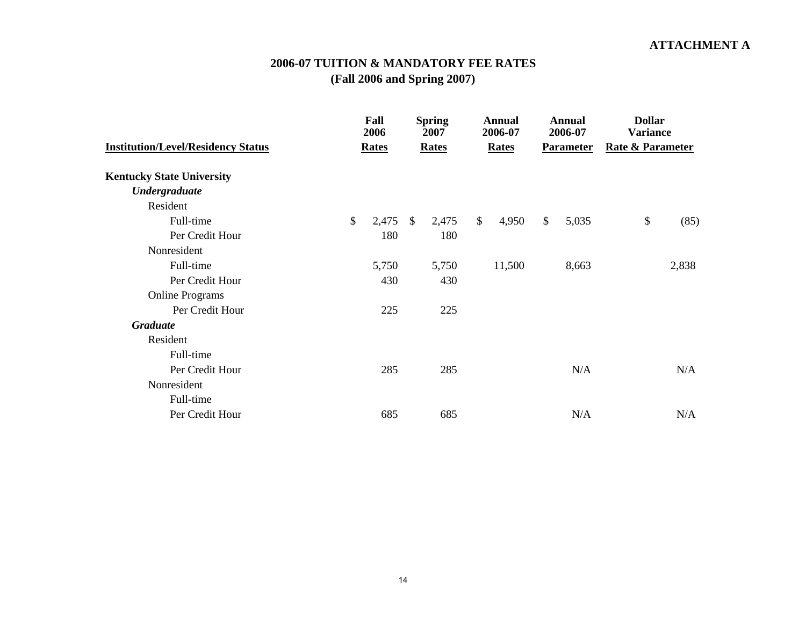#### **ATTACHMENT A**

#### **2006-07 TUITION & MANDATORY FEE RATES (Fall 2006 and Spring 2007)**

| <b>Institution/Level/Residency Status</b> |                           | Fall<br>2006<br><b>Rates</b> |              | <b>Spring</b><br>2007<br><b>Rates</b> |               | <b>Annual</b><br>2006-07<br><b>Rates</b> |               | <b>Annual</b><br>2006-07<br><b>Parameter</b> | <b>Dollar</b><br><b>Variance</b><br><b>Rate &amp; Parameter</b> |       |
|-------------------------------------------|---------------------------|------------------------------|--------------|---------------------------------------|---------------|------------------------------------------|---------------|----------------------------------------------|-----------------------------------------------------------------|-------|
| <b>Kentucky State University</b>          |                           |                              |              |                                       |               |                                          |               |                                              |                                                                 |       |
| Undergraduate                             |                           |                              |              |                                       |               |                                          |               |                                              |                                                                 |       |
| Resident                                  |                           |                              |              |                                       |               |                                          |               |                                              |                                                                 |       |
| Full-time                                 | $\boldsymbol{\mathsf{S}}$ | 2,475                        | $\mathbb{S}$ | 2,475                                 | $\mathcal{S}$ | 4,950                                    | $\frac{1}{2}$ | 5,035                                        | \$                                                              | (85)  |
| Per Credit Hour                           |                           | 180                          |              | 180                                   |               |                                          |               |                                              |                                                                 |       |
| Nonresident                               |                           |                              |              |                                       |               |                                          |               |                                              |                                                                 |       |
| Full-time                                 |                           | 5,750                        |              | 5,750                                 |               | 11,500                                   |               | 8,663                                        |                                                                 | 2,838 |
| Per Credit Hour                           |                           | 430                          |              | 430                                   |               |                                          |               |                                              |                                                                 |       |
| <b>Online Programs</b>                    |                           |                              |              |                                       |               |                                          |               |                                              |                                                                 |       |
| Per Credit Hour                           |                           | 225                          |              | 225                                   |               |                                          |               |                                              |                                                                 |       |
| <b>Graduate</b>                           |                           |                              |              |                                       |               |                                          |               |                                              |                                                                 |       |
| Resident                                  |                           |                              |              |                                       |               |                                          |               |                                              |                                                                 |       |
| Full-time                                 |                           |                              |              |                                       |               |                                          |               |                                              |                                                                 |       |
| Per Credit Hour                           |                           | 285                          |              | 285                                   |               |                                          |               | N/A                                          |                                                                 | N/A   |
| Nonresident                               |                           |                              |              |                                       |               |                                          |               |                                              |                                                                 |       |
| Full-time                                 |                           |                              |              |                                       |               |                                          |               |                                              |                                                                 |       |
| Per Credit Hour                           |                           | 685                          |              | 685                                   |               |                                          |               | N/A                                          |                                                                 | N/A   |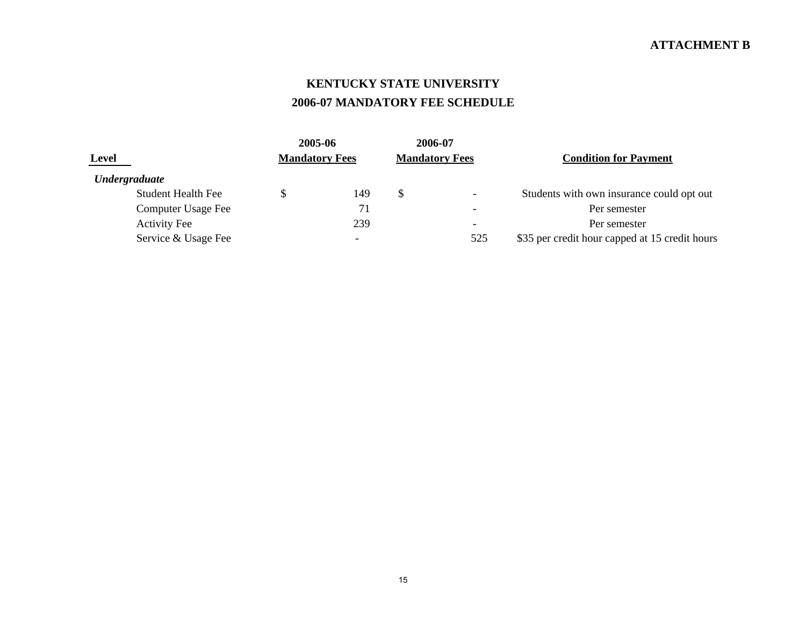#### **ATTACHMENT B**

# **KENTUCKY STATE UNIVERSITY2006-07 MANDATORY FEE SCHEDULE**

| Level                |                           |  | 2005-06<br>2006-07<br><b>Mandatory Fees</b><br><b>Mandatory Fees</b> |  |                          |                                                |
|----------------------|---------------------------|--|----------------------------------------------------------------------|--|--------------------------|------------------------------------------------|
|                      |                           |  |                                                                      |  |                          | <b>Condition for Payment</b>                   |
| <b>Undergraduate</b> |                           |  |                                                                      |  |                          |                                                |
|                      | <b>Student Health Fee</b> |  | 149                                                                  |  | $\overline{\phantom{a}}$ | Students with own insurance could opt out      |
|                      | Computer Usage Fee        |  | 71                                                                   |  | -                        | Per semester                                   |
| <b>Activity Fee</b>  |                           |  | 239                                                                  |  | $\overline{\phantom{0}}$ | Per semester                                   |
|                      | Service & Usage Fee       |  |                                                                      |  | 525                      | \$35 per credit hour capped at 15 credit hours |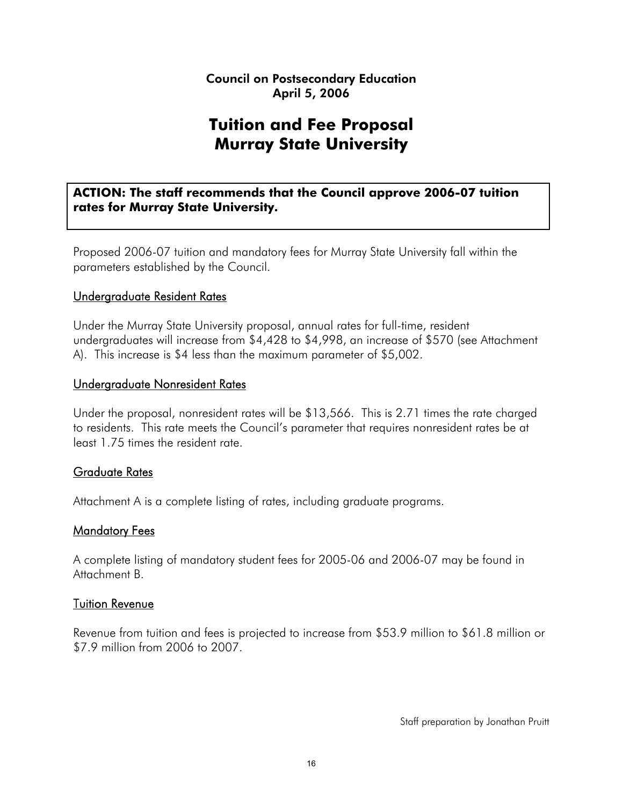# **Tuition and Fee Proposal Murray State University**

#### **ACTION: The staff recommends that the Council approve 2006-07 tuition rates for Murray State University.**

Proposed 2006-07 tuition and mandatory fees for Murray State University fall within the parameters established by the Council.

#### Undergraduate Resident Rates

Under the Murray State University proposal, annual rates for full-time, resident undergraduates will increase from \$4,428 to \$4,998, an increase of \$570 (see Attachment A). This increase is \$4 less than the maximum parameter of \$5,002.

#### Undergraduate Nonresident Rates

Under the proposal, nonresident rates will be \$13,566. This is 2.71 times the rate charged to residents. This rate meets the Council's parameter that requires nonresident rates be at least 1.75 times the resident rate.

#### Graduate Rates

Attachment A is a complete listing of rates, including graduate programs.

## Mandatory Fees

A complete listing of mandatory student fees for 2005-06 and 2006-07 may be found in Attachment B.

#### Tuition Revenue

Revenue from tuition and fees is projected to increase from \$53.9 million to \$61.8 million or \$7.9 million from 2006 to 2007.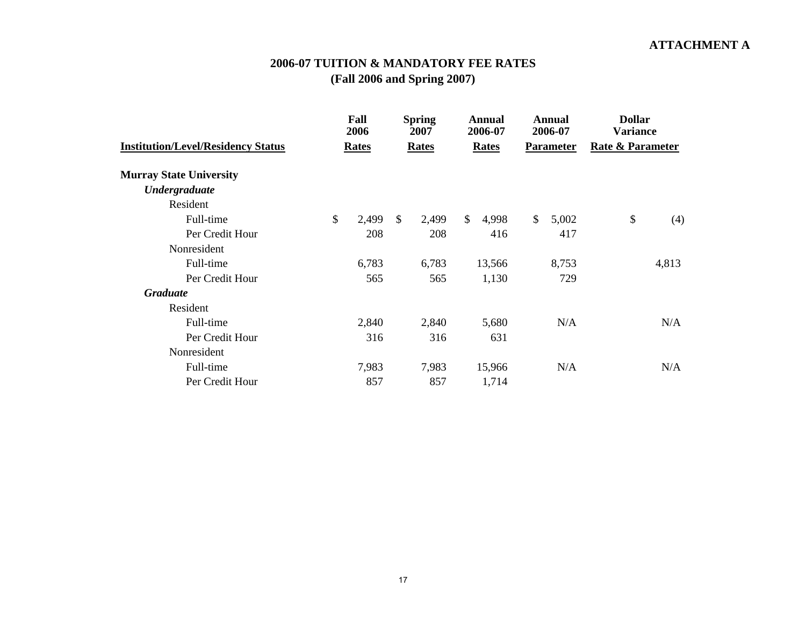#### **ATTACHMENT A**

#### **2006-07 TUITION & MANDATORY FEE RATES (Fall 2006 and Spring 2007)**

|                                           |              | Fall<br>2006 | <b>Spring</b><br>2007 |              | Annual<br>2006-07 |              | Annual<br>2006-07 |                  | <b>Dollar</b><br><b>Variance</b> |       |
|-------------------------------------------|--------------|--------------|-----------------------|--------------|-------------------|--------------|-------------------|------------------|----------------------------------|-------|
| <b>Institution/Level/Residency Status</b> |              | <b>Rates</b> |                       | <b>Rates</b> |                   | <b>Rates</b> |                   | <b>Parameter</b> | <b>Rate &amp; Parameter</b>      |       |
| <b>Murray State University</b>            |              |              |                       |              |                   |              |                   |                  |                                  |       |
| <b>Undergraduate</b>                      |              |              |                       |              |                   |              |                   |                  |                                  |       |
| Resident                                  |              |              |                       |              |                   |              |                   |                  |                                  |       |
| Full-time                                 | $\mathbb{S}$ | 2,499        | $\mathbb{S}$          | 2,499        | $\mathbb{S}$      | 4,998        | $\mathbb{S}$      | 5,002            | $\mathcal{S}$                    | (4)   |
| Per Credit Hour                           |              | 208          |                       | 208          |                   | 416          |                   | 417              |                                  |       |
| Nonresident                               |              |              |                       |              |                   |              |                   |                  |                                  |       |
| Full-time                                 |              | 6,783        |                       | 6,783        |                   | 13,566       |                   | 8,753            |                                  | 4,813 |
| Per Credit Hour                           |              | 565          |                       | 565          |                   | 1,130        |                   | 729              |                                  |       |
| <b>Graduate</b>                           |              |              |                       |              |                   |              |                   |                  |                                  |       |
| Resident                                  |              |              |                       |              |                   |              |                   |                  |                                  |       |
| Full-time                                 |              | 2,840        |                       | 2,840        |                   | 5,680        |                   | N/A              |                                  | N/A   |
| Per Credit Hour                           |              | 316          |                       | 316          |                   | 631          |                   |                  |                                  |       |
| Nonresident                               |              |              |                       |              |                   |              |                   |                  |                                  |       |
| Full-time                                 |              | 7,983        |                       | 7,983        |                   | 15,966       |                   | N/A              |                                  | N/A   |
| Per Credit Hour                           |              | 857          |                       | 857          |                   | 1,714        |                   |                  |                                  |       |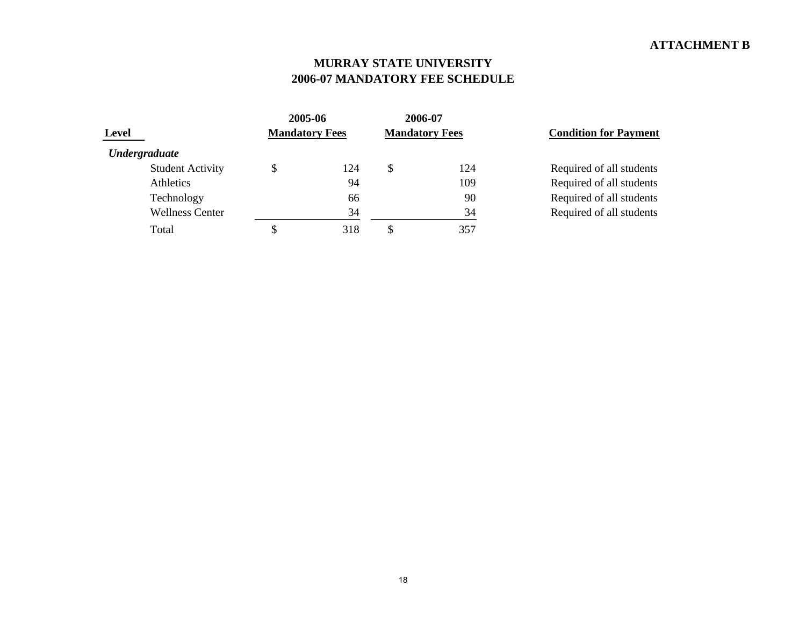#### **ATTACHMENT B**

#### **MURRAY STATE UNIVERSITY2006-07 MANDATORY FEE SCHEDULE**

|                         | 2005-06 |                       | 2006-07 |                       |                              |  |  |
|-------------------------|---------|-----------------------|---------|-----------------------|------------------------------|--|--|
| Level                   |         | <b>Mandatory Fees</b> |         | <b>Mandatory Fees</b> | <b>Condition for Payment</b> |  |  |
| <b>Undergraduate</b>    |         |                       |         |                       |                              |  |  |
| <b>Student Activity</b> | \$      | 124                   | \$      | 124                   | Required of all students     |  |  |
| Athletics               |         | 94                    |         | 109                   | Required of all students     |  |  |
| Technology              |         | 66                    |         | 90                    | Required of all students     |  |  |
| <b>Wellness Center</b>  |         | 34                    |         | 34                    | Required of all students     |  |  |
| Total                   | \$      | 318                   |         | 357                   |                              |  |  |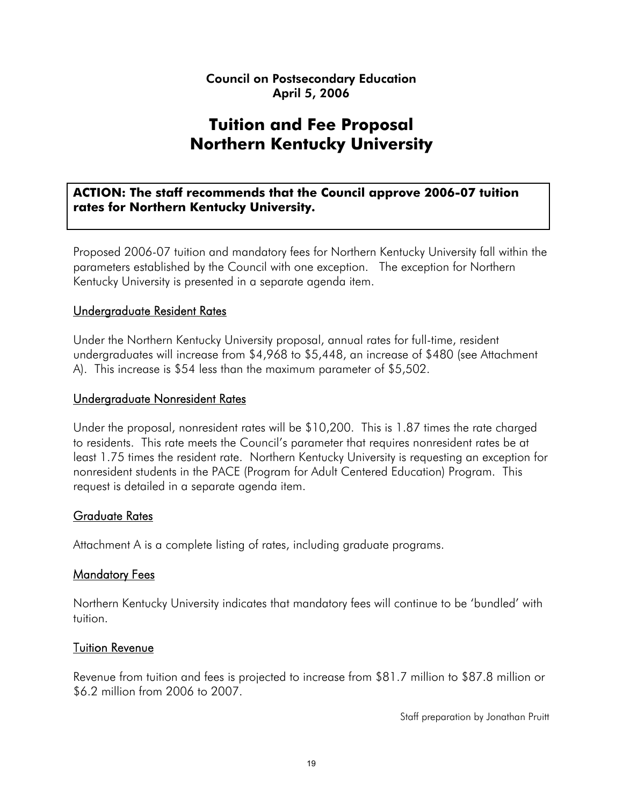# **Tuition and Fee Proposal Northern Kentucky University**

### **ACTION: The staff recommends that the Council approve 2006-07 tuition rates for Northern Kentucky University.**

Proposed 2006-07 tuition and mandatory fees for Northern Kentucky University fall within the parameters established by the Council with one exception. The exception for Northern Kentucky University is presented in a separate agenda item.

#### Undergraduate Resident Rates

Under the Northern Kentucky University proposal, annual rates for full-time, resident undergraduates will increase from \$4,968 to \$5,448, an increase of \$480 (see Attachment A). This increase is \$54 less than the maximum parameter of \$5,502.

#### Undergraduate Nonresident Rates

Under the proposal, nonresident rates will be \$10,200. This is 1.87 times the rate charged to residents. This rate meets the Council's parameter that requires nonresident rates be at least 1.75 times the resident rate. Northern Kentucky University is requesting an exception for nonresident students in the PACE (Program for Adult Centered Education) Program. This request is detailed in a separate agenda item.

#### Graduate Rates

Attachment A is a complete listing of rates, including graduate programs.

## Mandatory Fees

Northern Kentucky University indicates that mandatory fees will continue to be 'bundled' with tuition.

#### Tuition Revenue

Revenue from tuition and fees is projected to increase from \$81.7 million to \$87.8 million or \$6.2 million from 2006 to 2007.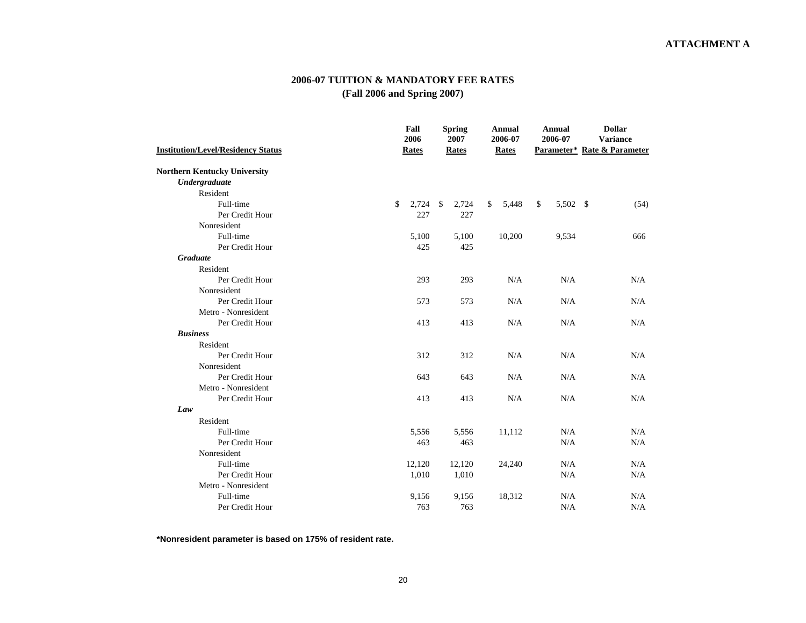#### **2006-07 TUITION & MANDATORY FEE RATES (Fall 2006 and Spring 2007)**

|                                           | Fall<br>2006          | <b>Spring</b><br>2007 | Annual<br>2006-07 | Annual<br>2006-07 | <b>Dollar</b><br><b>Variance</b> |
|-------------------------------------------|-----------------------|-----------------------|-------------------|-------------------|----------------------------------|
| <b>Institution/Level/Residency Status</b> | Rates                 | <b>Rates</b>          | Rates             |                   | Parameter* Rate & Parameter      |
| <b>Northern Kentucky University</b>       |                       |                       |                   |                   |                                  |
| <b>Undergraduate</b>                      |                       |                       |                   |                   |                                  |
| Resident                                  |                       |                       |                   |                   |                                  |
| Full-time                                 | $\mathbb{S}$<br>2,724 | 2,724<br>-S           | 5,448<br>\$       | 5,502 \$<br>\$    | (54)                             |
| Per Credit Hour                           | 227                   | 227                   |                   |                   |                                  |
| Nonresident                               |                       |                       |                   |                   |                                  |
| Full-time                                 | 5,100                 | 5,100                 | 10,200            | 9,534             | 666                              |
| Per Credit Hour                           | 425                   | 425                   |                   |                   |                                  |
| <b>Graduate</b>                           |                       |                       |                   |                   |                                  |
| Resident                                  |                       |                       |                   |                   |                                  |
| Per Credit Hour                           | 293                   | 293                   | N/A               | N/A               | N/A                              |
| Nonresident                               |                       |                       |                   |                   |                                  |
| Per Credit Hour                           | 573                   | 573                   | N/A               | N/A               | N/A                              |
| Metro - Nonresident                       |                       |                       |                   |                   |                                  |
| Per Credit Hour                           | 413                   | 413                   | N/A               | N/A               | N/A                              |
| <b>Business</b>                           |                       |                       |                   |                   |                                  |
| Resident                                  |                       |                       |                   |                   |                                  |
| Per Credit Hour                           | 312                   | 312                   | N/A               | N/A               | N/A                              |
| Nonresident                               |                       |                       |                   |                   |                                  |
| Per Credit Hour                           | 643                   | 643                   | N/A               | N/A               | N/A                              |
| Metro - Nonresident                       |                       |                       |                   |                   |                                  |
| Per Credit Hour                           | 413                   | 413                   | N/A               | N/A               | N/A                              |
| Law                                       |                       |                       |                   |                   |                                  |
| Resident                                  |                       |                       |                   |                   |                                  |
| Full-time                                 | 5,556                 | 5,556                 | 11,112            | N/A               | N/A                              |
| Per Credit Hour                           | 463                   | 463                   |                   | N/A               | N/A                              |
| Nonresident                               |                       |                       |                   |                   |                                  |
| Full-time                                 | 12,120                | 12,120                | 24,240            | N/A               | N/A                              |
| Per Credit Hour                           | 1,010                 | 1,010                 |                   | N/A               | N/A                              |
| Metro - Nonresident                       |                       |                       |                   |                   |                                  |
| Full-time                                 | 9,156                 | 9,156                 | 18,312            | N/A               | N/A                              |
| Per Credit Hour                           | 763                   | 763                   |                   | N/A               | N/A                              |

**\*Nonresident parameter is based on 175% of resident rate.**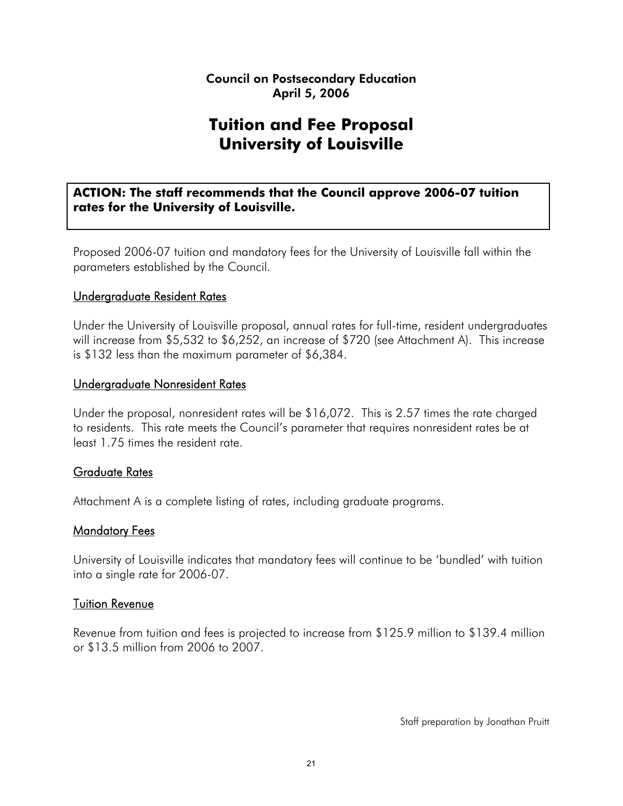# **Tuition and Fee Proposal University of Louisville**

#### **ACTION: The staff recommends that the Council approve 2006-07 tuition rates for the University of Louisville.**

Proposed 2006-07 tuition and mandatory fees for the University of Louisville fall within the parameters established by the Council.

#### Undergraduate Resident Rates

Under the University of Louisville proposal, annual rates for full-time, resident undergraduates will increase from \$5,532 to \$6,252, an increase of \$720 (see Attachment A). This increase is \$132 less than the maximum parameter of \$6,384.

#### Undergraduate Nonresident Rates

Under the proposal, nonresident rates will be \$16,072. This is 2.57 times the rate charged to residents. This rate meets the Council's parameter that requires nonresident rates be at least 1.75 times the resident rate.

#### Graduate Rates

Attachment A is a complete listing of rates, including graduate programs.

#### Mandatory Fees

University of Louisville indicates that mandatory fees will continue to be 'bundled' with tuition into a single rate for 2006-07.

#### Tuition Revenue

Revenue from tuition and fees is projected to increase from \$125.9 million to \$139.4 million or \$13.5 million from 2006 to 2007.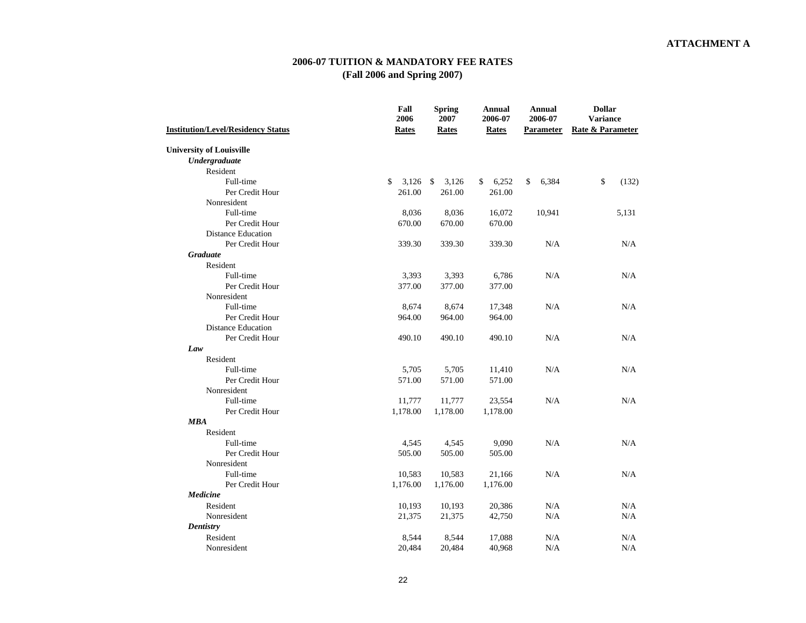#### **2006-07 TUITION & MANDATORY FEE RATES (Fall 2006 and Spring 2007)**

| <b>Institution/Level/Residency Status</b> | Fall<br>2006<br><b>Rates</b> | <b>Spring</b><br>2007<br><b>Rates</b> | <b>Annual</b><br>2006-07<br><b>Rates</b> | <b>Annual</b><br>2006-07<br>Parameter | <b>Dollar</b><br><b>Variance</b><br><b>Rate &amp; Parameter</b> |  |
|-------------------------------------------|------------------------------|---------------------------------------|------------------------------------------|---------------------------------------|-----------------------------------------------------------------|--|
|                                           |                              |                                       |                                          |                                       |                                                                 |  |
| <b>University of Louisville</b>           |                              |                                       |                                          |                                       |                                                                 |  |
| <b>Undergraduate</b>                      |                              |                                       |                                          |                                       |                                                                 |  |
| Resident                                  |                              |                                       |                                          |                                       |                                                                 |  |
| Full-time                                 | \$<br>3.126                  | \$<br>3,126                           | 6,252<br>\$                              | \$<br>6,384                           | \$<br>(132)                                                     |  |
| Per Credit Hour                           | 261.00                       | 261.00                                | 261.00                                   |                                       |                                                                 |  |
| Nonresident                               |                              |                                       |                                          |                                       |                                                                 |  |
| Full-time                                 | 8,036                        | 8,036                                 | 16,072                                   | 10,941                                | 5,131                                                           |  |
| Per Credit Hour                           | 670.00                       | 670.00                                | 670.00                                   |                                       |                                                                 |  |
| <b>Distance Education</b>                 |                              |                                       |                                          |                                       |                                                                 |  |
| Per Credit Hour                           | 339.30                       | 339.30                                | 339.30                                   | N/A                                   | N/A                                                             |  |
| <b>Graduate</b>                           |                              |                                       |                                          |                                       |                                                                 |  |
| Resident                                  |                              |                                       |                                          |                                       |                                                                 |  |
| Full-time                                 | 3,393                        | 3,393                                 | 6,786                                    | N/A                                   | N/A                                                             |  |
| Per Credit Hour                           | 377.00                       | 377.00                                | 377.00                                   |                                       |                                                                 |  |
| Nonresident                               |                              |                                       |                                          |                                       |                                                                 |  |
| Full-time                                 | 8,674                        | 8,674                                 | 17,348                                   | N/A                                   | N/A                                                             |  |
| Per Credit Hour                           | 964.00                       | 964.00                                | 964.00                                   |                                       |                                                                 |  |
| <b>Distance Education</b>                 |                              |                                       |                                          |                                       |                                                                 |  |
| Per Credit Hour                           | 490.10                       | 490.10                                | 490.10                                   | N/A                                   | N/A                                                             |  |
| Law                                       |                              |                                       |                                          |                                       |                                                                 |  |
| Resident                                  |                              |                                       |                                          |                                       |                                                                 |  |
| Full-time                                 | 5,705                        | 5,705                                 | 11,410                                   | N/A                                   | N/A                                                             |  |
| Per Credit Hour                           | 571.00                       | 571.00                                | 571.00                                   |                                       |                                                                 |  |
| Nonresident                               |                              |                                       |                                          |                                       |                                                                 |  |
| Full-time                                 | 11,777                       | 11,777                                | 23,554                                   | N/A                                   | N/A                                                             |  |
| Per Credit Hour                           | 1,178.00                     | 1,178.00                              | 1,178.00                                 |                                       |                                                                 |  |
| <b>MBA</b>                                |                              |                                       |                                          |                                       |                                                                 |  |
| Resident                                  |                              |                                       |                                          |                                       |                                                                 |  |
| Full-time                                 | 4,545                        | 4,545                                 | 9,090                                    | N/A                                   | N/A                                                             |  |
| Per Credit Hour                           | 505.00                       | 505.00                                | 505.00                                   |                                       |                                                                 |  |
| Nonresident                               |                              |                                       |                                          |                                       |                                                                 |  |
| Full-time                                 | 10,583                       | 10,583                                | 21,166                                   | N/A                                   | N/A                                                             |  |
| Per Credit Hour                           | 1,176.00                     | 1,176.00                              | 1,176.00                                 |                                       |                                                                 |  |
| <b>Medicine</b>                           |                              |                                       |                                          |                                       |                                                                 |  |
| Resident                                  | 10,193                       | 10,193                                | 20,386                                   | N/A                                   | N/A                                                             |  |
| Nonresident                               | 21,375                       | 21,375                                | 42,750                                   | N/A                                   | $\rm N/A$                                                       |  |
| <b>Dentistry</b>                          |                              |                                       |                                          |                                       |                                                                 |  |
| Resident                                  | 8,544                        | 8,544                                 | 17,088                                   | N/A                                   | N/A                                                             |  |
| Nonresident                               | 20,484                       | 20,484                                | 40,968                                   | N/A                                   | N/A                                                             |  |
|                                           |                              |                                       |                                          |                                       |                                                                 |  |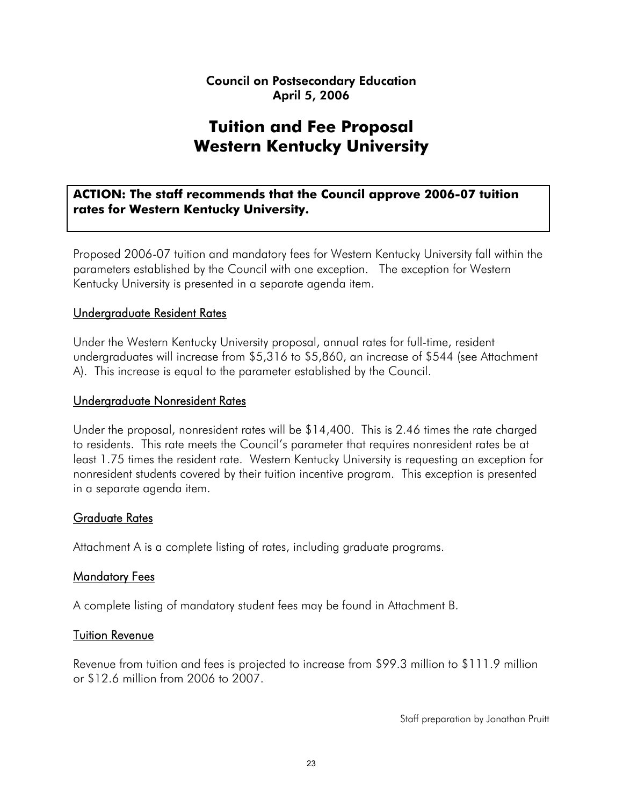# **Tuition and Fee Proposal Western Kentucky University**

## **ACTION: The staff recommends that the Council approve 2006-07 tuition rates for Western Kentucky University.**

Proposed 2006-07 tuition and mandatory fees for Western Kentucky University fall within the parameters established by the Council with one exception. The exception for Western Kentucky University is presented in a separate agenda item.

#### Undergraduate Resident Rates

Under the Western Kentucky University proposal, annual rates for full-time, resident undergraduates will increase from \$5,316 to \$5,860, an increase of \$544 (see Attachment A). This increase is equal to the parameter established by the Council.

#### Undergraduate Nonresident Rates

Under the proposal, nonresident rates will be \$14,400. This is 2.46 times the rate charged to residents. This rate meets the Council's parameter that requires nonresident rates be at least 1.75 times the resident rate. Western Kentucky University is requesting an exception for nonresident students covered by their tuition incentive program. This exception is presented in a separate agenda item.

#### Graduate Rates

Attachment A is a complete listing of rates, including graduate programs.

#### Mandatory Fees

A complete listing of mandatory student fees may be found in Attachment B.

#### Tuition Revenue

Revenue from tuition and fees is projected to increase from \$99.3 million to \$111.9 million or \$12.6 million from 2006 to 2007.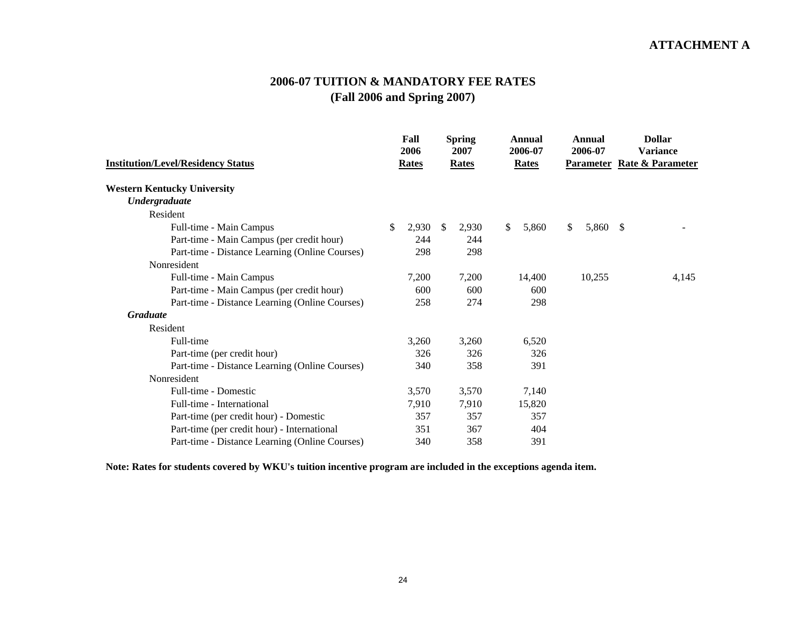#### **2006-07 TUITION & MANDATORY FEE RATES(Fall 2006 and Spring 2007)**

| <b>Institution/Level/Residency Status</b>      | Fall<br>2006<br><b>Rates</b> | <b>Spring</b><br>2007<br><b>Rates</b> | <b>Annual</b><br>2006-07<br><b>Rates</b> | Annual<br>2006-07 | <b>Dollar</b><br><b>Variance</b><br>Parameter Rate & Parameter |
|------------------------------------------------|------------------------------|---------------------------------------|------------------------------------------|-------------------|----------------------------------------------------------------|
|                                                |                              |                                       |                                          |                   |                                                                |
| <b>Western Kentucky University</b>             |                              |                                       |                                          |                   |                                                                |
| Undergraduate                                  |                              |                                       |                                          |                   |                                                                |
| Resident                                       |                              |                                       |                                          |                   |                                                                |
| Full-time - Main Campus                        | \$<br>2,930                  | 2,930<br>S                            | \$<br>5,860                              | \$<br>5,860 \$    |                                                                |
| Part-time - Main Campus (per credit hour)      | 244                          | 244                                   |                                          |                   |                                                                |
| Part-time - Distance Learning (Online Courses) | 298                          | 298                                   |                                          |                   |                                                                |
| Nonresident                                    |                              |                                       |                                          |                   |                                                                |
| Full-time - Main Campus                        | 7,200                        | 7,200                                 | 14,400                                   | 10,255            | 4,145                                                          |
| Part-time - Main Campus (per credit hour)      | 600                          | 600                                   | 600                                      |                   |                                                                |
| Part-time - Distance Learning (Online Courses) | 258                          | 274                                   | 298                                      |                   |                                                                |
| <b>Graduate</b>                                |                              |                                       |                                          |                   |                                                                |
| Resident                                       |                              |                                       |                                          |                   |                                                                |
| Full-time                                      | 3,260                        | 3,260                                 | 6,520                                    |                   |                                                                |
| Part-time (per credit hour)                    | 326                          | 326                                   | 326                                      |                   |                                                                |
| Part-time - Distance Learning (Online Courses) | 340                          | 358                                   | 391                                      |                   |                                                                |
| Nonresident                                    |                              |                                       |                                          |                   |                                                                |
| Full-time - Domestic                           | 3,570                        | 3,570                                 | 7,140                                    |                   |                                                                |
| Full-time - International                      | 7,910                        | 7,910                                 | 15,820                                   |                   |                                                                |
| Part-time (per credit hour) - Domestic         | 357                          | 357                                   | 357                                      |                   |                                                                |
| Part-time (per credit hour) - International    | 351                          | 367                                   | 404                                      |                   |                                                                |
| Part-time - Distance Learning (Online Courses) | 340                          | 358                                   | 391                                      |                   |                                                                |

**Note: Rates for students covered by WKU's tuition incentive program are included in the exceptions agenda item.**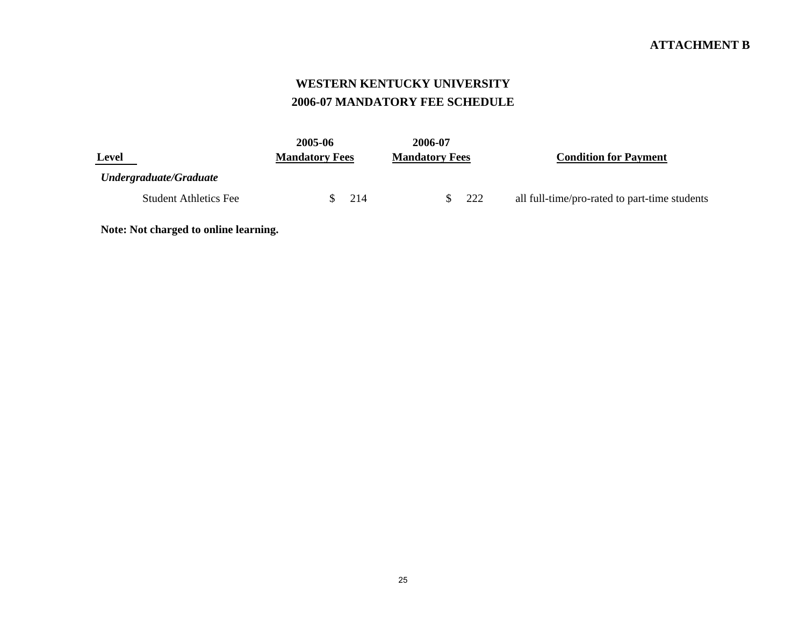### **WESTERN KENTUCKY UNIVERSITY 2006-07 MANDATORY FEE SCHEDULE**

|                              | 2005-06               | 2006-07               |                                               |  |
|------------------------------|-----------------------|-----------------------|-----------------------------------------------|--|
| <b>Level</b>                 | <b>Mandatory Fees</b> | <b>Mandatory Fees</b> | <b>Condition for Payment</b>                  |  |
| Undergraduate/Graduate       |                       |                       |                                               |  |
| <b>Student Athletics Fee</b> | 214                   | 222                   | all full-time/pro-rated to part-time students |  |

**Note: Not charged to online learning.**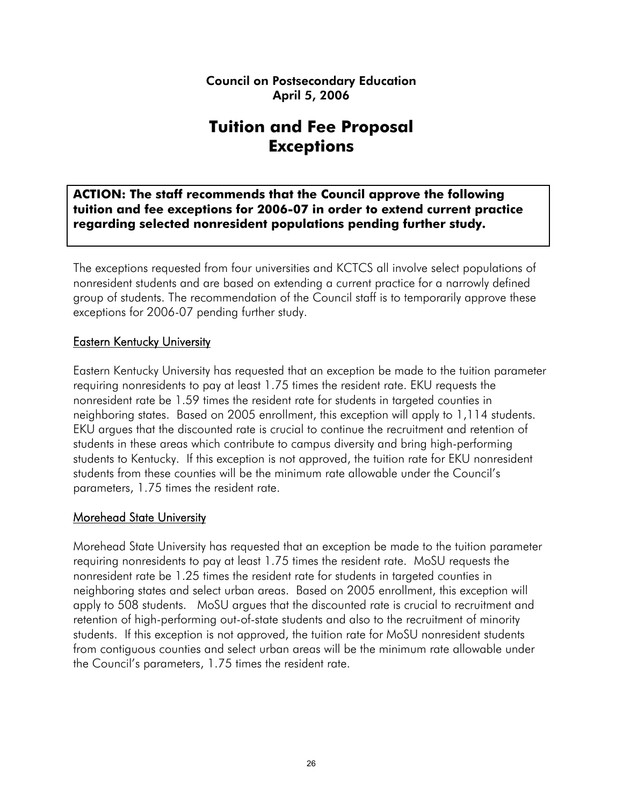# **Tuition and Fee Proposal Exceptions**

**ACTION: The staff recommends that the Council approve the following tuition and fee exceptions for 2006-07 in order to extend current practice regarding selected nonresident populations pending further study.** 

The exceptions requested from four universities and KCTCS all involve select populations of nonresident students and are based on extending a current practice for a narrowly defined group of students. The recommendation of the Council staff is to temporarily approve these exceptions for 2006-07 pending further study.

#### **Eastern Kentucky University**

Eastern Kentucky University has requested that an exception be made to the tuition parameter requiring nonresidents to pay at least 1.75 times the resident rate. EKU requests the nonresident rate be 1.59 times the resident rate for students in targeted counties in neighboring states. Based on 2005 enrollment, this exception will apply to 1,114 students. EKU argues that the discounted rate is crucial to continue the recruitment and retention of students in these areas which contribute to campus diversity and bring high-performing students to Kentucky. If this exception is not approved, the tuition rate for EKU nonresident students from these counties will be the minimum rate allowable under the Council's parameters, 1.75 times the resident rate.

#### Morehead State University

Morehead State University has requested that an exception be made to the tuition parameter requiring nonresidents to pay at least 1.75 times the resident rate. MoSU requests the nonresident rate be 1.25 times the resident rate for students in targeted counties in neighboring states and select urban areas. Based on 2005 enrollment, this exception will apply to 508 students. MoSU argues that the discounted rate is crucial to recruitment and retention of high-performing out-of-state students and also to the recruitment of minority students. If this exception is not approved, the tuition rate for MoSU nonresident students from contiguous counties and select urban areas will be the minimum rate allowable under the Council's parameters, 1.75 times the resident rate.